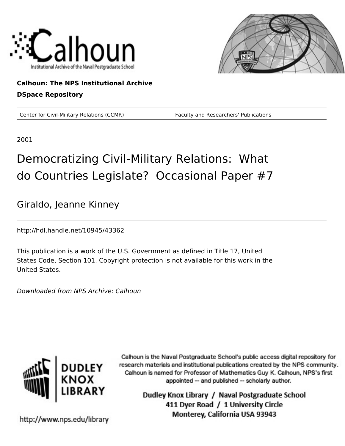



### **Calhoun: The NPS Institutional Archive DSpace Repository**

Center for Civil-Military Relations (CCMR) Faculty and Researchers' Publications

2001

## Democratizing Civil-Military Relations: What do Countries Legislate? Occasional Paper #7

Giraldo, Jeanne Kinney

http://hdl.handle.net/10945/43362

This publication is a work of the U.S. Government as defined in Title 17, United States Code, Section 101. Copyright protection is not available for this work in the United States.

Downloaded from NPS Archive: Calhoun



Calhoun is the Naval Postgraduate School's public access digital repository for research materials and institutional publications created by the NPS community. Calhoun is named for Professor of Mathematics Guy K. Calhoun, NPS's first appointed -- and published -- scholarly author.

> Dudley Knox Library / Naval Postgraduate School 411 Dyer Road / 1 University Circle Monterey, California USA 93943

http://www.nps.edu/library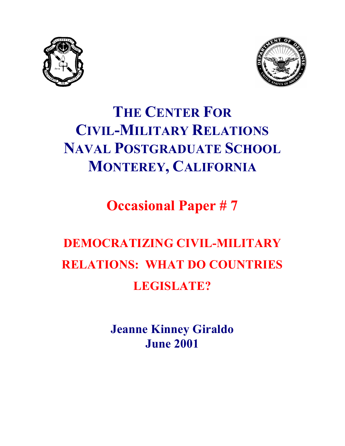



## **THE CENTER FOR CIVIL-MILITARY RELATIONS NAVAL POSTGRADUATE SCHOOL MONTEREY, CALIFORNIA**

**Occasional Paper # 7**

# **DEMOCRATIZING CIVIL-MILITARY RELATIONS: WHAT DO COUNTRIES LEGISLATE?**

**Jeanne Kinney Giraldo June 2001**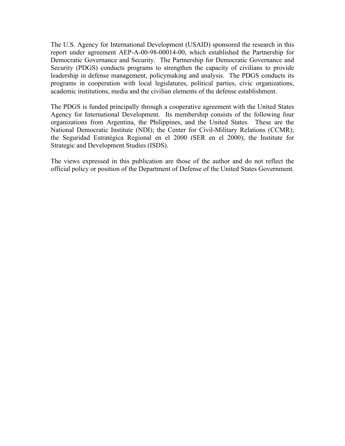The U.S. Agency for International Development (USAID) sponsored the research in this report under agreement AEP-A-00-98-00014-00, which established the Partnership for Democratic Governance and Security. The Partnership for Democratic Governance and Security (PDGS) conducts programs to strengthen the capacity of civilians to provide leadership in defense management, policymaking and analysis. The PDGS conducts its programs in cooperation with local legislatures, political parties, civic organizations, academic institutions, media and the civilian elements of the defense establishment.

The PDGS is funded principally through a cooperative agreement with the United States Agency for International Development. Its membership consists of the following four organizations from Argentina, the Philippines, and the United States. These are the National Democratic Institute (NDI); the Center for Civil-Military Relations (CCMR); the Seguridad Estratégica Regional en el 2000 (SER en el 2000); the Institute for Strategic and Development Studies (ISDS).

The views expressed in this publication are those of the author and do not reflect the official policy or position of the Department of Defense of the United States Government.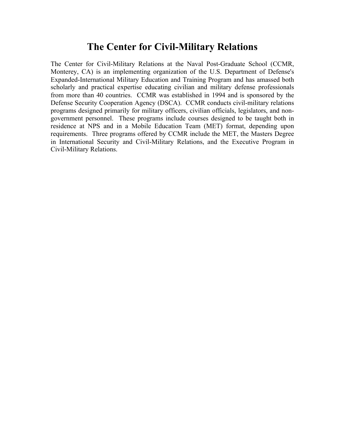### **The Center for Civil-Military Relations**

The Center for Civil-Military Relations at the Naval Post-Graduate School (CCMR, Monterey, CA) is an implementing organization of the U.S. Department of Defense's Expanded-International Military Education and Training Program and has amassed both scholarly and practical expertise educating civilian and military defense professionals from more than 40 countries. CCMR was established in 1994 and is sponsored by the Defense Security Cooperation Agency (DSCA). CCMR conducts civil-military relations programs designed primarily for military officers, civilian officials, legislators, and nongovernment personnel. These programs include courses designed to be taught both in residence at NPS and in a Mobile Education Team (MET) format, depending upon requirements. Three programs offered by CCMR include the MET, the Masters Degree in International Security and Civil-Military Relations, and the Executive Program in Civil-Military Relations.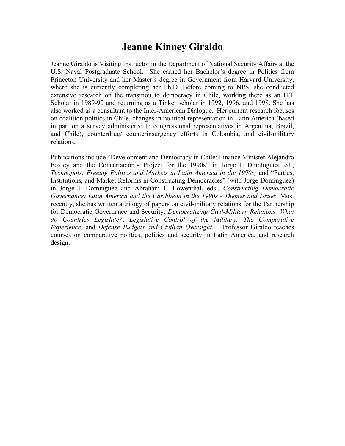## **Jeanne Kinney Giraldo**

Jeanne Giraldo is Visiting Instructor in the Department of National Security Affairs at the U.S. Naval Postgraduate School. She earned her Bachelor's degree in Politics from Princeton University and her Master's degree in Government from Harvard University, where she is currently completing her Ph.D. Before coming to NPS, she conducted extensive research on the transition to democracy in Chile, working there as an ITT Scholar in 1989-90 and returning as a Tinker scholar in 1992, 1996, and 1998. She has also worked as a consultant to the Inter-American Dialogue. Her current research focuses on coalition politics in Chile, changes in political representation in Latin America (based in part on a survey administered to congressional representatives in Argentina, Brazil, and Chile), counterdrug/ counterinsurgency efforts in Colombia, and civil-military relations.

Publications include "Development and Democracy in Chile: Finance Minister Alejandro Foxley and the Concertación's Project for the 1990s" in Jorge I. Domínguez, ed., *Technopols: Freeing Politics and Markets in Latin America in the 1990s; and "Parties,* Institutions, and Market Reforms in Constructing Democracies" (with Jorge Domínguez) in Jorge I. Domínguez and Abraham F. Lowenthal, eds., *Constructing Democratic Governance: Latin America and the Caribbean in the 1990s - Themes and Issues*. Most recently, she has written a trilogy of papers on civil-military relations for the Partnership for Democratic Governance and Security: *Democratizing Civil-Military Relations: What do Countries Legislate?*, *Legislative Control of the Military: The Comparative Experience*, and *Defense Budgets and Civilian Oversight*. Professor Giraldo teaches courses on comparative politics, politics and security in Latin America, and research design.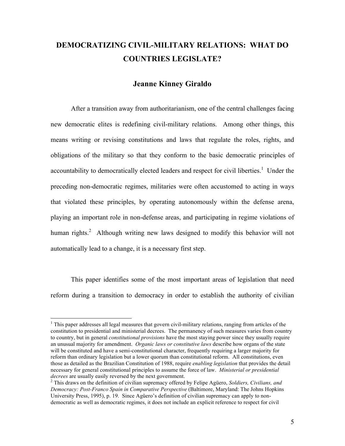## **DEMOCRATIZING CIVIL-MILITARY RELATIONS: WHAT DO COUNTRIES LEGISLATE?**

#### **Jeanne Kinney Giraldo**

After a transition away from authoritarianism, one of the central challenges facing new democratic elites is redefining civil-military relations. Among other things, this means writing or revising constitutions and laws that regulate the roles, rights, and obligations of the military so that they conform to the basic democratic principles of accountability to democratically elected leaders and respect for civil liberties.<sup>1</sup> Under the preceding non-democratic regimes, militaries were often accustomed to acting in ways that violated these principles, by operating autonomously within the defense arena, playing an important role in non-defense areas, and participating in regime violations of human rights.<sup>2</sup> Although writing new laws designed to modify this behavior will not automatically lead to a change, it is a necessary first step.

This paper identifies some of the most important areas of legislation that need reform during a transition to democracy in order to establish the authority of civilian

 $1$  This paper addresses all legal measures that govern civil-military relations, ranging from articles of the constitution to presidential and ministerial decrees. The permanency of such measures varies from country to country, but in general *constitutional provisions* have the most staying power since they usually require an unusual majority for amendment. *Organic laws or constitutive laws* describe how organs of the state will be constituted and have a semi-constitutional character, frequently requiring a larger majority for reform than ordinary legislation but a lower quorum than constitutional reform. All constitutions, even those as detailed as the Brazilian Constitution of 1988, require *enabling legislation* that provides the detail necessary for general constitutional principles to assume the force of law. *Ministerial or presidential* 

*decrees* are usually easily reversed by the next government. 2 This draws on the definition of civilian supremacy offered by Felipe Agüero, *Soldiers, Civilians, and Democracy: Post-Franco Spain in Comparative Perspective* (Baltimore, Maryland: The Johns Hopkins University Press, 1995), p. 19. Since Agüero's definition of civilian supremacy can apply to nondemocratic as well as democratic regimes, it does not include an explicit reference to respect for civil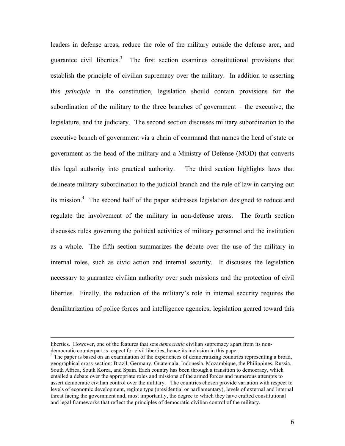leaders in defense areas, reduce the role of the military outside the defense area, and guarantee civil liberties.<sup>3</sup> The first section examines constitutional provisions that establish the principle of civilian supremacy over the military. In addition to asserting this *principle* in the constitution, legislation should contain provisions for the subordination of the military to the three branches of government – the executive, the legislature, and the judiciary. The second section discusses military subordination to the executive branch of government via a chain of command that names the head of state or government as the head of the military and a Ministry of Defense (MOD) that converts this legal authority into practical authority. The third section highlights laws that delineate military subordination to the judicial branch and the rule of law in carrying out its mission.<sup>4</sup> The second half of the paper addresses legislation designed to reduce and regulate the involvement of the military in non-defense areas. The fourth section discusses rules governing the political activities of military personnel and the institution as a whole. The fifth section summarizes the debate over the use of the military in internal roles, such as civic action and internal security. It discusses the legislation necessary to guarantee civilian authority over such missions and the protection of civil liberties. Finally, the reduction of the military's role in internal security requires the demilitarization of police forces and intelligence agencies; legislation geared toward this

 $\overline{a}$ 

liberties. However, one of the features that sets *democratic* civilian supremacy apart from its nondemocratic counterpart is respect for civil liberties, hence its inclusion in this paper.

<sup>&</sup>lt;sup>3</sup> The paper is based on an examination of the experiences of democratizing countries representing a broad, geographical cross-section: Brazil, Germany, Guatemala, Indonesia, Mozambique, the Philippines, Russia, South Africa, South Korea, and Spain. Each country has been through a transition to democracy, which entailed a debate over the appropriate roles and missions of the armed forces and numerous attempts to assert democratic civilian control over the military. The countries chosen provide variation with respect to levels of economic development, regime type (presidential or parliamentary), levels of external and internal threat facing the government and, most importantly, the degree to which they have crafted constitutional and legal frameworks that reflect the principles of democratic civilian control of the military.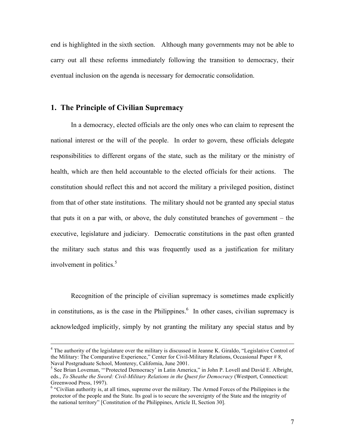end is highlighted in the sixth section. Although many governments may not be able to carry out all these reforms immediately following the transition to democracy, their eventual inclusion on the agenda is necessary for democratic consolidation.

#### **1. The Principle of Civilian Supremacy**

In a democracy, elected officials are the only ones who can claim to represent the national interest or the will of the people. In order to govern, these officials delegate responsibilities to different organs of the state, such as the military or the ministry of health, which are then held accountable to the elected officials for their actions. The constitution should reflect this and not accord the military a privileged position, distinct from that of other state institutions. The military should not be granted any special status that puts it on a par with, or above, the duly constituted branches of government – the executive, legislature and judiciary. Democratic constitutions in the past often granted the military such status and this was frequently used as a justification for military involvement in politics.<sup>5</sup>

Recognition of the principle of civilian supremacy is sometimes made explicitly in constitutions, as is the case in the Philippines.<sup>6</sup> In other cases, civilian supremacy is acknowledged implicitly, simply by not granting the military any special status and by

<sup>&</sup>lt;sup>4</sup> The authority of the legislature over the military is discussed in Jeanne K. Giraldo, "Legislative Control of the Military: The Comparative Experience," Center for Civil-Military Relations, Occasional Paper # 8, Naval Postgraduate School, Monterey, California, June 2001.<br><sup>5</sup> See Brian Loveman, "'Protected Democracy' in Latin America," in John P. Lovell and David E. Albright,

eds., *To Sheathe the Sword: Civil-Military Relations in the Quest for Democracy* (Westport, Connecticut: Greenwood Press, 1997).

<sup>6</sup> "Civilian authority is, at all times, supreme over the military. The Armed Forces of the Philippines is the protector of the people and the State. Its goal is to secure the sovereignty of the State and the integrity of the national territory" [Constitution of the Philippines, Article II, Section 30].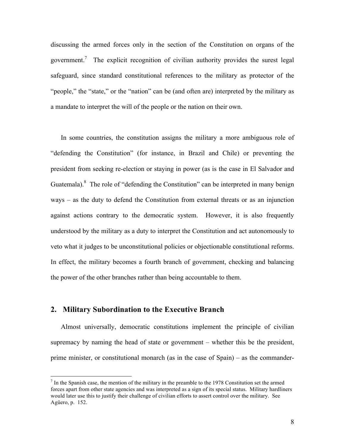discussing the armed forces only in the section of the Constitution on organs of the government.<sup>7</sup> The explicit recognition of civilian authority provides the surest legal safeguard, since standard constitutional references to the military as protector of the "people," the "state," or the "nation" can be (and often are) interpreted by the military as a mandate to interpret the will of the people or the nation on their own.

In some countries, the constitution assigns the military a more ambiguous role of "defending the Constitution" (for instance, in Brazil and Chile) or preventing the president from seeking re-election or staying in power (as is the case in El Salvador and Guatemala). $8$  The role of "defending the Constitution" can be interpreted in many benign ways – as the duty to defend the Constitution from external threats or as an injunction against actions contrary to the democratic system. However, it is also frequently understood by the military as a duty to interpret the Constitution and act autonomously to veto what it judges to be unconstitutional policies or objectionable constitutional reforms. In effect, the military becomes a fourth branch of government, checking and balancing the power of the other branches rather than being accountable to them.

#### **2. Military Subordination to the Executive Branch**

Almost universally, democratic constitutions implement the principle of civilian supremacy by naming the head of state or government – whether this be the president, prime minister, or constitutional monarch (as in the case of Spain) – as the commander-

 $<sup>7</sup>$  In the Spanish case, the mention of the military in the preamble to the 1978 Constitution set the armed</sup> forces apart from other state agencies and was interpreted as a sign of its special status. Military hardliners would later use this to justify their challenge of civilian efforts to assert control over the military. See Agüero, p. 152.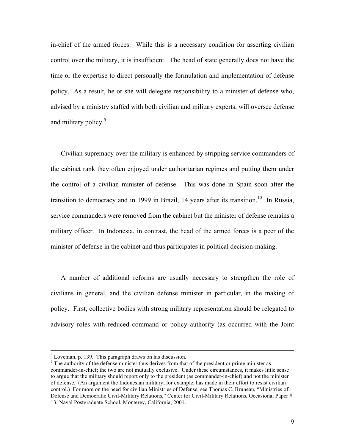in-chief of the armed forces. While this is a necessary condition for asserting civilian control over the military, it is insufficient. The head of state generally does not have the time or the expertise to direct personally the formulation and implementation of defense policy. As a result, he or she will delegate responsibility to a minister of defense who, advised by a ministry staffed with both civilian and military experts, will oversee defense and military policy.<sup>9</sup>

Civilian supremacy over the military is enhanced by stripping service commanders of the cabinet rank they often enjoyed under authoritarian regimes and putting them under the control of a civilian minister of defense. This was done in Spain soon after the transition to democracy and in 1999 in Brazil, 14 years after its transition.<sup>10</sup> In Russia, service commanders were removed from the cabinet but the minister of defense remains a military officer. In Indonesia, in contrast, the head of the armed forces is a peer of the minister of defense in the cabinet and thus participates in political decision-making.

A number of additional reforms are usually necessary to strengthen the role of civilians in general, and the civilian defense minister in particular, in the making of policy. First, collective bodies with strong military representation should be relegated to advisory roles with reduced command or policy authority (as occurred with the Joint

 <sup>8</sup> Loveman, p. 139. This paragraph draws on his discussion.

<sup>&</sup>lt;sup>9</sup> The authority of the defense minister thus derives from that of the president or prime minister as commander-in-chief; the two are not mutually exclusive. Under these circumstances, it makes little sense to argue that the military should report only to the president (as commander-in-chief) and not the minister of defense. (An argument the Indonesian military, for example, has made in their effort to resist civilian control.) For more on the need for civilian Ministries of Defense, see Thomas C. Bruneau, "Ministries of Defense and Democratic Civil-Military Relations," Center for Civil-Military Relations, Occasional Paper # 13, Naval Postgraduate School, Monterey, California, 2001.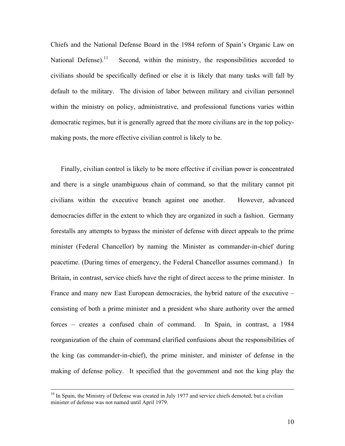Chiefs and the National Defense Board in the 1984 reform of Spain's Organic Law on National Defense).<sup>11</sup> Second, within the ministry, the responsibilities accorded to civilians should be specifically defined or else it is likely that many tasks will fall by default to the military. The division of labor between military and civilian personnel within the ministry on policy, administrative, and professional functions varies within democratic regimes, but it is generally agreed that the more civilians are in the top policymaking posts, the more effective civilian control is likely to be.

Finally, civilian control is likely to be more effective if civilian power is concentrated and there is a single unambiguous chain of command, so that the military cannot pit civilians within the executive branch against one another. However, advanced democracies differ in the extent to which they are organized in such a fashion. Germany forestalls any attempts to bypass the minister of defense with direct appeals to the prime minister (Federal Chancellor) by naming the Minister as commander-in-chief during peacetime. (During times of emergency, the Federal Chancellor assumes command.) In Britain, in contrast, service chiefs have the right of direct access to the prime minister. In France and many new East European democracies, the hybrid nature of the executive – consisting of both a prime minister and a president who share authority over the armed forces – creates a confused chain of command. In Spain, in contrast, a 1984 reorganization of the chain of command clarified confusions about the responsibilities of the king (as commander-in-chief), the prime minister, and minister of defense in the making of defense policy. It specified that the government and not the king play the

<sup>&</sup>lt;sup>10</sup> In Spain, the Ministry of Defense was created in July 1977 and service chiefs demoted, but a civilian minister of defense was not named until April 1979.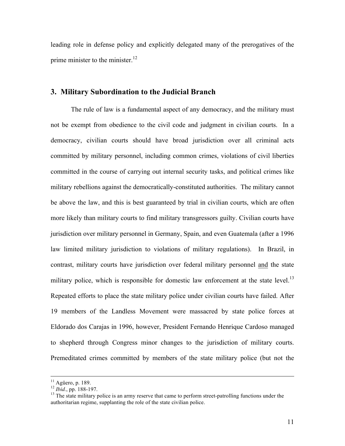leading role in defense policy and explicitly delegated many of the prerogatives of the prime minister to the minister.<sup>12</sup>

#### **3. Military Subordination to the Judicial Branch**

The rule of law is a fundamental aspect of any democracy, and the military must not be exempt from obedience to the civil code and judgment in civilian courts. In a democracy, civilian courts should have broad jurisdiction over all criminal acts committed by military personnel, including common crimes, violations of civil liberties committed in the course of carrying out internal security tasks, and political crimes like military rebellions against the democratically-constituted authorities. The military cannot be above the law, and this is best guaranteed by trial in civilian courts, which are often more likely than military courts to find military transgressors guilty. Civilian courts have jurisdiction over military personnel in Germany, Spain, and even Guatemala (after a 1996 law limited military jurisdiction to violations of military regulations). In Brazil, in contrast, military courts have jurisdiction over federal military personnel and the state military police, which is responsible for domestic law enforcement at the state level.<sup>13</sup> Repeated efforts to place the state military police under civilian courts have failed. After 19 members of the Landless Movement were massacred by state police forces at Eldorado dos Carajas in 1996, however, President Fernando Henrique Cardoso managed to shepherd through Congress minor changes to the jurisdiction of military courts. Premeditated crimes committed by members of the state military police (but not the

<sup>&</sup>lt;sup>11</sup> Agüero, p. 189.<br><sup>12</sup> *Ibid.*, pp. 188-197.<br><sup>13</sup> The state military police is an army reserve that came to perform street-patrolling functions under the authoritarian regime, supplanting the role of the state civilian police.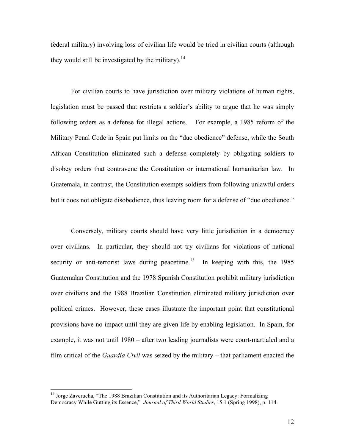federal military) involving loss of civilian life would be tried in civilian courts (although they would still be investigated by the military).<sup>14</sup>

For civilian courts to have jurisdiction over military violations of human rights, legislation must be passed that restricts a soldier's ability to argue that he was simply following orders as a defense for illegal actions. For example, a 1985 reform of the Military Penal Code in Spain put limits on the "due obedience" defense, while the South African Constitution eliminated such a defense completely by obligating soldiers to disobey orders that contravene the Constitution or international humanitarian law. In Guatemala, in contrast, the Constitution exempts soldiers from following unlawful orders but it does not obligate disobedience, thus leaving room for a defense of "due obedience."

Conversely, military courts should have very little jurisdiction in a democracy over civilians. In particular, they should not try civilians for violations of national security or anti-terrorist laws during peacetime.<sup>15</sup> In keeping with this, the 1985 Guatemalan Constitution and the 1978 Spanish Constitution prohibit military jurisdiction over civilians and the 1988 Brazilian Constitution eliminated military jurisdiction over political crimes. However, these cases illustrate the important point that constitutional provisions have no impact until they are given life by enabling legislation. In Spain, for example, it was not until 1980 – after two leading journalists were court-martialed and a film critical of the *Guardia Civil* was seized by the military – that parliament enacted the

<sup>&</sup>lt;sup>14</sup> Jorge Zaverucha, "The 1988 Brazilian Constitution and its Authoritarian Legacy: Formalizing Democracy While Gutting its Essence," *Journal of Third World Studies*, 15:1 (Spring 1998), p. 114.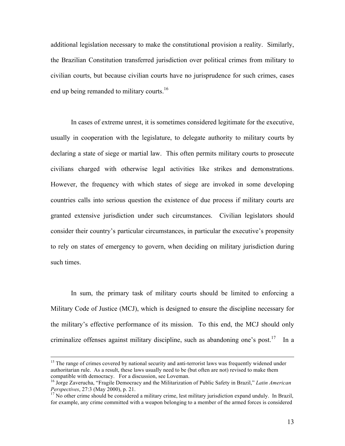additional legislation necessary to make the constitutional provision a reality. Similarly, the Brazilian Constitution transferred jurisdiction over political crimes from military to civilian courts, but because civilian courts have no jurisprudence for such crimes, cases end up being remanded to military courts.<sup>16</sup>

In cases of extreme unrest, it is sometimes considered legitimate for the executive, usually in cooperation with the legislature, to delegate authority to military courts by declaring a state of siege or martial law. This often permits military courts to prosecute civilians charged with otherwise legal activities like strikes and demonstrations. However, the frequency with which states of siege are invoked in some developing countries calls into serious question the existence of due process if military courts are granted extensive jurisdiction under such circumstances. Civilian legislators should consider their country's particular circumstances, in particular the executive's propensity to rely on states of emergency to govern, when deciding on military jurisdiction during such times.

In sum, the primary task of military courts should be limited to enforcing a Military Code of Justice (MCJ), which is designed to ensure the discipline necessary for the military's effective performance of its mission. To this end, the MCJ should only criminalize offenses against military discipline, such as abandoning one's post.<sup>17</sup> In a

<sup>&</sup>lt;sup>15</sup> The range of crimes covered by national security and anti-terrorist laws was frequently widened under authoritarian rule. As a result, these laws usually need to be (but often are not) revised to make them compatible with democracy. For a discussion, see Loveman.

<sup>16</sup> Jorge Zaverucha, "Fragile Democracy and the Militarization of Public Safety in Brazil," *Latin American Perspectives*, 27:3 (May 2000), p. 21.<br><sup>17</sup> No other crime should be considered a military crime, lest military jurisdiction expand unduly. In Brazil,

for example, any crime committed with a weapon belonging to a member of the armed forces is considered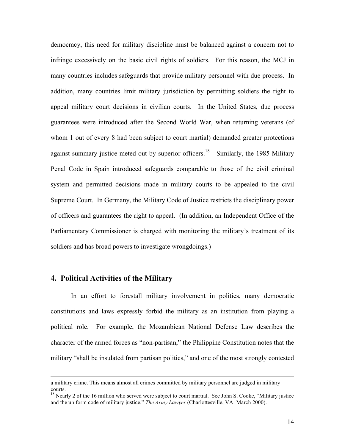democracy, this need for military discipline must be balanced against a concern not to infringe excessively on the basic civil rights of soldiers. For this reason, the MCJ in many countries includes safeguards that provide military personnel with due process. In addition, many countries limit military jurisdiction by permitting soldiers the right to appeal military court decisions in civilian courts. In the United States, due process guarantees were introduced after the Second World War, when returning veterans (of whom 1 out of every 8 had been subject to court martial) demanded greater protections against summary justice meted out by superior officers.<sup>18</sup> Similarly, the 1985 Military Penal Code in Spain introduced safeguards comparable to those of the civil criminal system and permitted decisions made in military courts to be appealed to the civil Supreme Court. In Germany, the Military Code of Justice restricts the disciplinary power of officers and guarantees the right to appeal. (In addition, an Independent Office of the Parliamentary Commissioner is charged with monitoring the military's treatment of its soldiers and has broad powers to investigate wrongdoings.)

#### **4. Political Activities of the Military**

In an effort to forestall military involvement in politics, many democratic constitutions and laws expressly forbid the military as an institution from playing a political role. For example, the Mozambican National Defense Law describes the character of the armed forces as "non-partisan," the Philippine Constitution notes that the military "shall be insulated from partisan politics," and one of the most strongly contested

a military crime. This means almost all crimes committed by military personnel are judged in military courts.

<sup>&</sup>lt;sup>18</sup> Nearly 2 of the 16 million who served were subject to court martial. See John S. Cooke, "Military justice and the uniform code of military justice," *The Army Lawyer* (Charlottesville, VA: March 2000).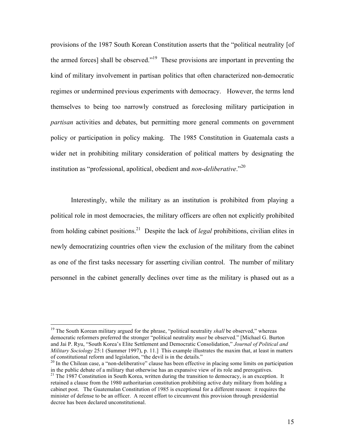provisions of the 1987 South Korean Constitution asserts that the "political neutrality [of the armed forces] shall be observed."<sup>19</sup> These provisions are important in preventing the kind of military involvement in partisan politics that often characterized non-democratic regimes or undermined previous experiments with democracy. However, the terms lend themselves to being too narrowly construed as foreclosing military participation in *partisan* activities and debates, but permitting more general comments on government policy or participation in policy making. The 1985 Constitution in Guatemala casts a wider net in prohibiting military consideration of political matters by designating the institution as "professional, apolitical, obedient and *non-deliberative*."<sup>20</sup>

Interestingly, while the military as an institution is prohibited from playing a political role in most democracies, the military officers are often not explicitly prohibited from holding cabinet positions.21 Despite the lack of *legal* prohibitions, civilian elites in newly democratizing countries often view the exclusion of the military from the cabinet as one of the first tasks necessary for asserting civilian control. The number of military personnel in the cabinet generally declines over time as the military is phased out as a

<sup>&</sup>lt;sup>19</sup> The South Korean military argued for the phrase, "political neutrality *shall* be observed," whereas democratic reformers preferred the stronger "political neutrality *must* be observed." [Michael G. Burton and Jai P. Ryu, "South Korea's Elite Settlement and Democratic Consolidation," *Journal of Political and Military Sociology* 25:1 (Summer 1997), p. 11.] This example illustrates the maxim that, at least in matters of constitutional reform and legislation, "the devil is in the details."

 $^{20}$  In the Chilean case, a "non-deliberative" clause has been effective in placing some limits on participation in the public debate of a military that otherwise has an expansive view of its role and prerogatives. <sup>21</sup> The 1987 Constitution in South Korea, written during the transition to democracy, is an exception. It

retained a clause from the 1980 authoritarian constitution prohibiting active duty military from holding a cabinet post. The Guatemalan Constitution of 1985 is exceptional for a different reason: it requires the minister of defense to be an officer. A recent effort to circumvent this provision through presidential decree has been declared unconstitutional.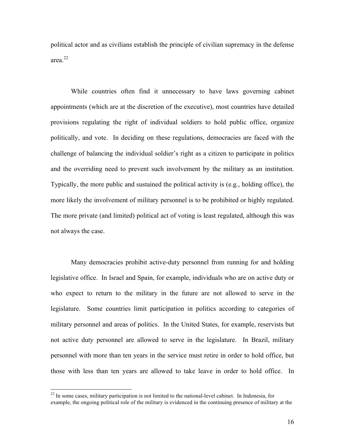political actor and as civilians establish the principle of civilian supremacy in the defense area.22

While countries often find it unnecessary to have laws governing cabinet appointments (which are at the discretion of the executive), most countries have detailed provisions regulating the right of individual soldiers to hold public office, organize politically, and vote.In deciding on these regulations, democracies are faced with the challenge of balancing the individual soldier's right as a citizen to participate in politics and the overriding need to prevent such involvement by the military as an institution. Typically, the more public and sustained the political activity is (e.g., holding office), the more likely the involvement of military personnel is to be prohibited or highly regulated. The more private (and limited) political act of voting is least regulated, although this was not always the case.

Many democracies prohibit active-duty personnel from running for and holding legislative office. In Israel and Spain, for example, individuals who are on active duty or who expect to return to the military in the future are not allowed to serve in the legislature. Some countries limit participation in politics according to categories of military personnel and areas of politics. In the United States, for example, reservists but not active duty personnel are allowed to serve in the legislature. In Brazil, military personnel with more than ten years in the service must retire in order to hold office, but those with less than ten years are allowed to take leave in order to hold office. In

<sup>&</sup>lt;sup>22</sup> In some cases, military participation is not limited to the national-level cabinet. In Indonesia, for example, the ongoing political role of the military is evidenced in the continuing presence of military at the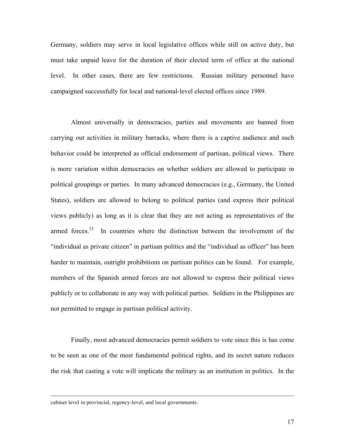Germany, soldiers may serve in local legislative offices while still on active duty, but must take unpaid leave for the duration of their elected term of office at the national level. In other cases, there are few restrictions. Russian military personnel have campaigned successfully for local and national-level elected offices since 1989.

Almost universally in democracies, parties and movements are banned from carrying out activities in military barracks, where there is a captive audience and such behavior could be interpreted as official endorsement of partisan, political views. There is more variation within democracies on whether soldiers are allowed to participate in political groupings or parties. In many advanced democracies (e.g., Germany, the United States), soldiers are allowed to belong to political parties (and express their political views publicly) as long as it is clear that they are not acting as representatives of the armed forces.<sup>23</sup> In countries where the distinction between the involvement of the "individual as private citizen" in partisan politics and the "individual as officer" has been harder to maintain, outright prohibitions on partisan politics can be found. For example, members of the Spanish armed forces are not allowed to express their political views publicly or to collaborate in any way with political parties. Soldiers in the Philippines are not permitted to engage in partisan political activity.

Finally, most advanced democracies permit soldiers to vote since this is has come to be seen as one of the most fundamental political rights, and its secret nature reduces the risk that casting a vote will implicate the military as an institution in politics. In the

cabinet level in provincial, regency-level, and local governments.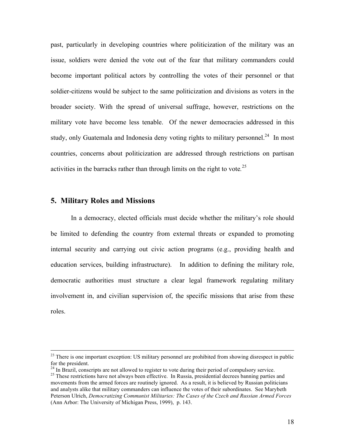past, particularly in developing countries where politicization of the military was an issue, soldiers were denied the vote out of the fear that military commanders could become important political actors by controlling the votes of their personnel or that soldier-citizens would be subject to the same politicization and divisions as voters in the broader society. With the spread of universal suffrage, however, restrictions on the military vote have become less tenable. Of the newer democracies addressed in this study, only Guatemala and Indonesia deny voting rights to military personnel.<sup>24</sup> In most countries, concerns about politicization are addressed through restrictions on partisan activities in the barracks rather than through limits on the right to vote*.* 25

#### **5. Military Roles and Missions**

In a democracy, elected officials must decide whether the military's role should be limited to defending the country from external threats or expanded to promoting internal security and carrying out civic action programs (e.g., providing health and education services, building infrastructure). In addition to defining the military role, democratic authorities must structure a clear legal framework regulating military involvement in, and civilian supervision of, the specific missions that arise from these roles.

 $^{23}$  There is one important exception: US military personnel are prohibited from showing disrespect in public for the president.<br><sup>24</sup> In Brazil, conscripts are not allowed to register to vote during their period of compulsory service.

<sup>&</sup>lt;sup>25</sup> These restrictions have not always been effective. In Russia, presidential decrees banning parties and movements from the armed forces are routinely ignored. As a result, it is believed by Russian politicians and analysts alike that military commanders can influence the votes of their subordinates. See Marybeth Peterson Ulrich, *Democratizing Communist Militaries: The Cases of the Czech and Russian Armed Forces* (Ann Arbor: The University of Michigan Press, 1999), p. 143.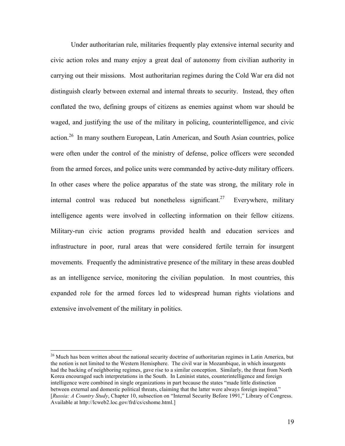Under authoritarian rule, militaries frequently play extensive internal security and civic action roles and many enjoy a great deal of autonomy from civilian authority in carrying out their missions. Most authoritarian regimes during the Cold War era did not distinguish clearly between external and internal threats to security. Instead, they often conflated the two, defining groups of citizens as enemies against whom war should be waged, and justifying the use of the military in policing, counterintelligence, and civic action.26 In many southern European, Latin American, and South Asian countries, police were often under the control of the ministry of defense, police officers were seconded from the armed forces, and police units were commanded by active-duty military officers. In other cases where the police apparatus of the state was strong, the military role in internal control was reduced but nonetheless significant.<sup>27</sup> Everywhere, military intelligence agents were involved in collecting information on their fellow citizens. Military-run civic action programs provided health and education services and infrastructure in poor, rural areas that were considered fertile terrain for insurgent movements. Frequently the administrative presence of the military in these areas doubled as an intelligence service, monitoring the civilian population. In most countries, this expanded role for the armed forces led to widespread human rights violations and extensive involvement of the military in politics.

<sup>&</sup>lt;sup>26</sup> Much has been written about the national security doctrine of authoritarian regimes in Latin America, but the notion is not limited to the Western Hemisphere. The civil war in Mozambique, in which insurgents had the backing of neighboring regimes, gave rise to a similar conception. Similarly, the threat from North Korea encouraged such interpretations in the South. In Leninist states, counterintelligence and foreign intelligence were combined in single organizations in part because the states "made little distinction between external and domestic political threats, claiming that the latter were always foreign inspired." [*Russia: A Country Study*, Chapter 10, subsection on "Internal Security Before 1991," Library of Congress. Available at http://lcweb2.loc.gov/frd/cs/cshome.html.]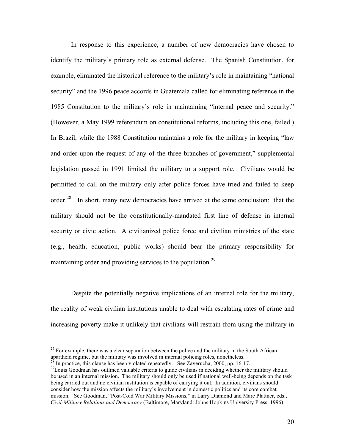In response to this experience, a number of new democracies have chosen to identify the military's primary role as external defense. The Spanish Constitution, for example, eliminated the historical reference to the military's role in maintaining "national security" and the 1996 peace accords in Guatemala called for eliminating reference in the 1985 Constitution to the military's role in maintaining "internal peace and security." (However, a May 1999 referendum on constitutional reforms, including this one, failed.) In Brazil, while the 1988 Constitution maintains a role for the military in keeping "law and order upon the request of any of the three branches of government," supplemental legislation passed in 1991 limited the military to a support role. Civilians would be permitted to call on the military only after police forces have tried and failed to keep order.<sup>28</sup> In short, many new democracies have arrived at the same conclusion: that the military should not be the constitutionally-mandated first line of defense in internal security or civic action. A civilianized police force and civilian ministries of the state (e.g., health, education, public works) should bear the primary responsibility for maintaining order and providing services to the population.<sup>29</sup>

Despite the potentially negative implications of an internal role for the military, the reality of weak civilian institutions unable to deal with escalating rates of crime and increasing poverty make it unlikely that civilians will restrain from using the military in

 $29$ Louis Goodman has outlined valuable criteria to guide civilians in deciding whether the military should be used in an internal mission. The military should only be used if national well-being depends on the task being carried out and no civilian institution is capable of carrying it out. In addition, civilians should consider how the mission affects the military's involvement in domestic politics and its core combat

mission. See Goodman, "Post-Cold War Military Missions," in Larry Diamond and Marc Plattner, eds., *Civil-Military Relations and Democracy* (Baltimore, Maryland: Johns Hopkins University Press, 1996).

 $27$  For example, there was a clear separation between the police and the military in the South African apartheid regime, but the military was involved in internal policing roles, nonetheless.<br><sup>28</sup> In practice, this clause has been violated repeatedly. See Zaverucha, 2000, pp. 16-17.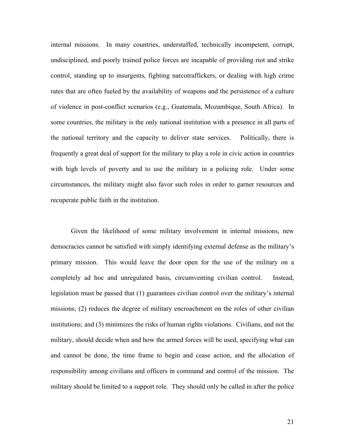internal missions. In many countries, understaffed, technically incompetent, corrupt, undisciplined, and poorly trained police forces are incapable of providing riot and strike control, standing up to insurgents, fighting narcotraffickers, or dealing with high crime rates that are often fueled by the availability of weapons and the persistence of a culture of violence in post-conflict scenarios (e.g., Guatemala, Mozambique, South Africa). In some countries, the military is the only national institution with a presence in all parts of the national territory and the capacity to deliver state services. Politically, there is frequently a great deal of support for the military to play a role in civic action in countries with high levels of poverty and to use the military in a policing role. Under some circumstances, the military might also favor such roles in order to garner resources and recuperate public faith in the institution.

Given the likelihood of some military involvement in internal missions, new democracies cannot be satisfied with simply identifying external defense as the military's primary mission. This would leave the door open for the use of the military on a completely ad hoc and unregulated basis, circumventing civilian control. Instead, legislation must be passed that (1) guarantees civilian control over the military's internal missions; (2) reduces the degree of military encroachment on the roles of other civilian institutions; and (3) minimizes the risks of human rights violations. Civilians, and not the military, should decide when and how the armed forces will be used, specifying what can and cannot be done, the time frame to begin and cease action, and the allocation of responsibility among civilians and officers in command and control of the mission. The military should be limited to a support role. They should only be called in after the police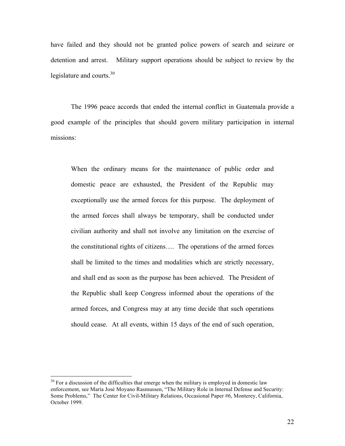have failed and they should not be granted police powers of search and seizure or detention and arrest. Military support operations should be subject to review by the legislature and courts. $30$ 

The 1996 peace accords that ended the internal conflict in Guatemala provide a good example of the principles that should govern military participation in internal missions:

When the ordinary means for the maintenance of public order and domestic peace are exhausted, the President of the Republic may exceptionally use the armed forces for this purpose. The deployment of the armed forces shall always be temporary, shall be conducted under civilian authority and shall not involve any limitation on the exercise of the constitutional rights of citizens…. The operations of the armed forces shall be limited to the times and modalities which are strictly necessary, and shall end as soon as the purpose has been achieved. The President of the Republic shall keep Congress informed about the operations of the armed forces, and Congress may at any time decide that such operations should cease. At all events, within 15 days of the end of such operation,

 $30$  For a discussion of the difficulties that emerge when the military is employed in domestic law enforcement, see María José Moyano Rasmussen, "The Military Role in Internal Defense and Security: Some Problems," The Center for Civil-Military Relations, Occasional Paper #6, Monterey, California, October 1999.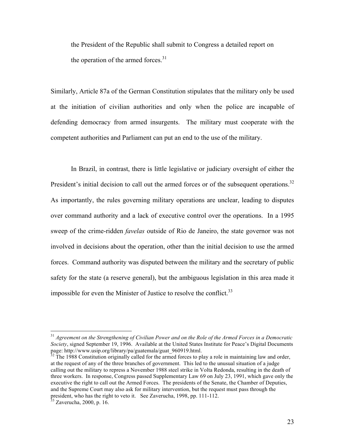the President of the Republic shall submit to Congress a detailed report on the operation of the armed forces. $31$ 

Similarly, Article 87a of the German Constitution stipulates that the military only be used at the initiation of civilian authorities and only when the police are incapable of defending democracy from armed insurgents. The military must cooperate with the competent authorities and Parliament can put an end to the use of the military.

In Brazil, in contrast, there is little legislative or judiciary oversight of either the President's initial decision to call out the armed forces or of the subsequent operations.<sup>32</sup> As importantly, the rules governing military operations are unclear, leading to disputes over command authority and a lack of executive control over the operations. In a 1995 sweep of the crime-ridden *favelas* outside of Rio de Janeiro, the state governor was not involved in decisions about the operation, other than the initial decision to use the armed forces. Command authority was disputed between the military and the secretary of public safety for the state (a reserve general), but the ambiguous legislation in this area made it impossible for even the Minister of Justice to resolve the conflict.<sup>33</sup>

 <sup>31</sup> *Agreement on the Strengthening of Civilian Power and on the Role of the Armed Forces in a Democratic Society*, signed September 19, 1996. Available at the United States Institute for Peace's Digital Documents page: http://www.usip.org/library/pa/guatemala/guat\_960919.html.

 $32$  The 1988 Constitution originally called for the armed forces to play a role in maintaining law and order, at the request of any of the three branches of government. This led to the unusual situation of a judge calling out the military to repress a November 1988 steel strike in Volta Redonda, resulting in the death of three workers. In response, Congress passed Supplementary Law 69 on July 23, 1991, which gave only the executive the right to call out the Armed Forces. The presidents of the Senate, the Chamber of Deputies, and the Supreme Court may also ask for military intervention, but the request must pass through the president, who has the right to veto it. See Zaverucha, 1998, pp. 111-112.<br><sup>33</sup> Zaverucha, 2000, p. 16.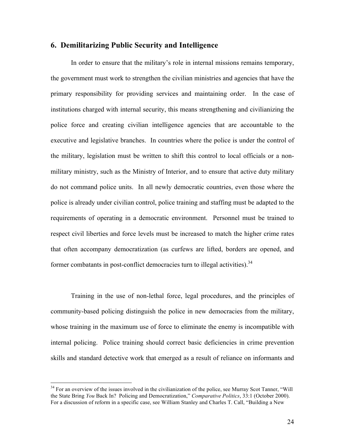#### **6. Demilitarizing Public Security and Intelligence**

In order to ensure that the military's role in internal missions remains temporary, the government must work to strengthen the civilian ministries and agencies that have the primary responsibility for providing services and maintaining order. In the case of institutions charged with internal security, this means strengthening and civilianizing the police force and creating civilian intelligence agencies that are accountable to the executive and legislative branches. In countries where the police is under the control of the military, legislation must be written to shift this control to local officials or a nonmilitary ministry, such as the Ministry of Interior, and to ensure that active duty military do not command police units. In all newly democratic countries, even those where the police is already under civilian control, police training and staffing must be adapted to the requirements of operating in a democratic environment. Personnel must be trained to respect civil liberties and force levels must be increased to match the higher crime rates that often accompany democratization (as curfews are lifted, borders are opened, and former combatants in post-conflict democracies turn to illegal activities).<sup>34</sup>

Training in the use of non-lethal force, legal procedures, and the principles of community-based policing distinguish the police in new democracies from the military, whose training in the maximum use of force to eliminate the enemy is incompatible with internal policing. Police training should correct basic deficiencies in crime prevention skills and standard detective work that emerged as a result of reliance on informants and

<sup>&</sup>lt;sup>34</sup> For an overview of the issues involved in the civilianization of the police, see Murray Scot Tanner, "Will the State Bring *You* Back In? Policing and Democratization," *Comparative Politics*, 33:1 (October 2000). For a discussion of reform in a specific case, see William Stanley and Charles T. Call, "Building a New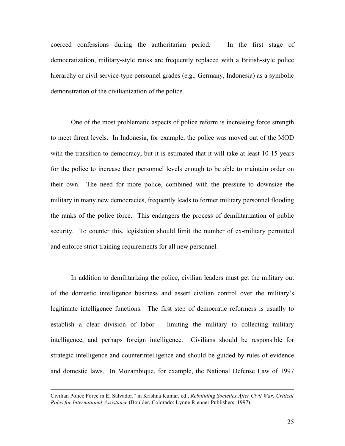coerced confessions during the authoritarian period. In the first stage of democratization, military-style ranks are frequently replaced with a British-style police hierarchy or civil service-type personnel grades (e.g., Germany, Indonesia) as a symbolic demonstration of the civilianization of the police.

One of the most problematic aspects of police reform is increasing force strength to meet threat levels. In Indonesia, for example, the police was moved out of the MOD with the transition to democracy, but it is estimated that it will take at least 10-15 years for the police to increase their personnel levels enough to be able to maintain order on their own. The need for more police, combined with the pressure to downsize the military in many new democracies, frequently leads to former military personnel flooding the ranks of the police force. This endangers the process of demilitarization of public security. To counter this, legislation should limit the number of ex-military permitted and enforce strict training requirements for all new personnel.

In addition to demilitarizing the police, civilian leaders must get the military out of the domestic intelligence business and assert civilian control over the military's legitimate intelligence functions. The first step of democratic reformers is usually to establish a clear division of labor – limiting the military to collecting military intelligence, and perhaps foreign intelligence. Civilians should be responsible for strategic intelligence and counterintelligence and should be guided by rules of evidence and domestic laws. In Mozambique, for example, the National Defense Law of 1997

Civilian Police Force in El Salvador," in Krishna Kumar, ed., *Rebuilding Societies After Civil War: Critical Roles for International Assistance* (Boulder, Colorado: Lynne Rienner Publishers, 1997).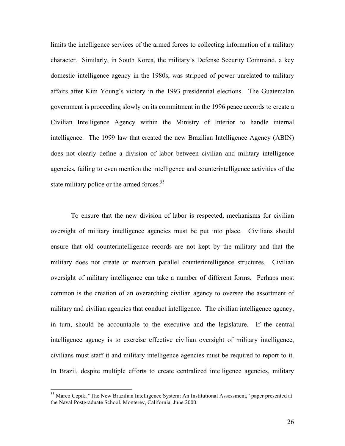limits the intelligence services of the armed forces to collecting information of a military character. Similarly, in South Korea, the military's Defense Security Command, a key domestic intelligence agency in the 1980s, was stripped of power unrelated to military affairs after Kim Young's victory in the 1993 presidential elections. The Guatemalan government is proceeding slowly on its commitment in the 1996 peace accords to create a Civilian Intelligence Agency within the Ministry of Interior to handle internal intelligence. The 1999 law that created the new Brazilian Intelligence Agency (ABIN) does not clearly define a division of labor between civilian and military intelligence agencies, failing to even mention the intelligence and counterintelligence activities of the state military police or the armed forces. $35$ 

To ensure that the new division of labor is respected, mechanisms for civilian oversight of military intelligence agencies must be put into place. Civilians should ensure that old counterintelligence records are not kept by the military and that the military does not create or maintain parallel counterintelligence structures. Civilian oversight of military intelligence can take a number of different forms. Perhaps most common is the creation of an overarching civilian agency to oversee the assortment of military and civilian agencies that conduct intelligence. The civilian intelligence agency, in turn, should be accountable to the executive and the legislature. If the central intelligence agency is to exercise effective civilian oversight of military intelligence, civilians must staff it and military intelligence agencies must be required to report to it. In Brazil, despite multiple efforts to create centralized intelligence agencies, military

<sup>&</sup>lt;sup>35</sup> Marco Cepik, "The New Brazilian Intelligence System: An Institutional Assessment," paper presented at the Naval Postgraduate School, Monterey, California, June 2000.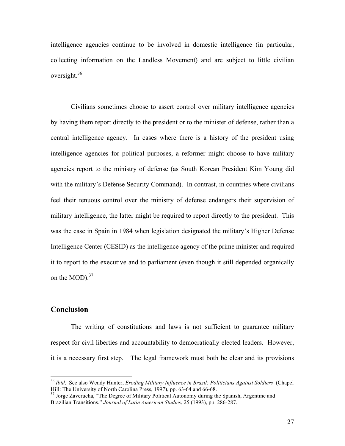intelligence agencies continue to be involved in domestic intelligence (in particular, collecting information on the Landless Movement) and are subject to little civilian oversight.<sup>36</sup>

Civilians sometimes choose to assert control over military intelligence agencies by having them report directly to the president or to the minister of defense, rather than a central intelligence agency. In cases where there is a history of the president using intelligence agencies for political purposes, a reformer might choose to have military agencies report to the ministry of defense (as South Korean President Kim Young did with the military's Defense Security Command). In contrast, in countries where civilians feel their tenuous control over the ministry of defense endangers their supervision of military intelligence, the latter might be required to report directly to the president. This was the case in Spain in 1984 when legislation designated the military's Higher Defense Intelligence Center (CESID) as the intelligence agency of the prime minister and required it to report to the executive and to parliament (even though it still depended organically on the MOD).<sup>37</sup>

#### **Conclusion**

The writing of constitutions and laws is not sufficient to guarantee military respect for civil liberties and accountability to democratically elected leaders. However, it is a necessary first step. The legal framework must both be clear and its provisions

 <sup>36</sup> *Ibid*. See also Wendy Hunter, *Eroding Military Influence in Brazil: Politicians Against Soldiers* (Chapel Hill: The University of North Carolina Press, 1997), pp. 63-64 and 66-68.<br><sup>37</sup> Jorge Zaverucha, "The Degree of Military Political Autonomy during the Spanish, Argentine and

Brazilian Transitions," *Journal of Latin American Studies*, 25 (1993), pp. 286-287.